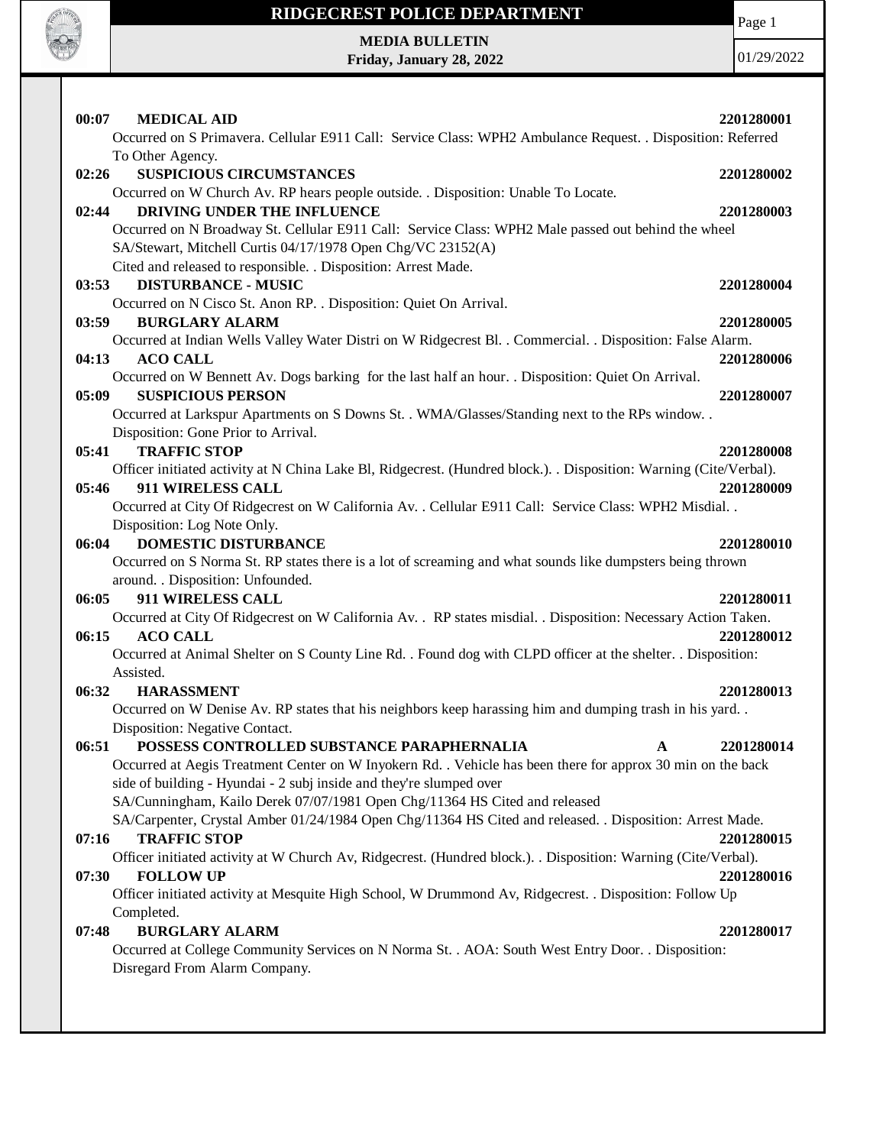

## **RIDGECREST POLICE DEPARTMENT MEDIA BULLETIN**

**Friday, January 28, 2022**

Page 1

| 00:07<br><b>MEDICAL AID</b>                                                                                        | 2201280001 |
|--------------------------------------------------------------------------------------------------------------------|------------|
| Occurred on S Primavera. Cellular E911 Call: Service Class: WPH2 Ambulance Request. . Disposition: Referred        |            |
| To Other Agency.                                                                                                   |            |
| 02:26<br><b>SUSPICIOUS CIRCUMSTANCES</b>                                                                           | 2201280002 |
| Occurred on W Church Av. RP hears people outside. . Disposition: Unable To Locate.                                 |            |
| DRIVING UNDER THE INFLUENCE<br>02:44                                                                               | 2201280003 |
| Occurred on N Broadway St. Cellular E911 Call: Service Class: WPH2 Male passed out behind the wheel                |            |
| SA/Stewart, Mitchell Curtis 04/17/1978 Open Chg/VC 23152(A)                                                        |            |
| Cited and released to responsible. . Disposition: Arrest Made.                                                     |            |
| <b>DISTURBANCE - MUSIC</b><br>03:53                                                                                | 2201280004 |
| Occurred on N Cisco St. Anon RP. . Disposition: Quiet On Arrival.                                                  |            |
| 03:59<br><b>BURGLARY ALARM</b>                                                                                     | 2201280005 |
| Occurred at Indian Wells Valley Water Distri on W Ridgecrest Bl. . Commercial. . Disposition: False Alarm.         |            |
| 04:13<br><b>ACO CALL</b>                                                                                           | 2201280006 |
| Occurred on W Bennett Av. Dogs barking for the last half an hour. . Disposition: Quiet On Arrival.                 |            |
| <b>SUSPICIOUS PERSON</b><br>05:09                                                                                  | 2201280007 |
| Occurred at Larkspur Apartments on S Downs St. . WMA/Glasses/Standing next to the RPs window. .                    |            |
| Disposition: Gone Prior to Arrival.                                                                                |            |
| 05:41<br><b>TRAFFIC STOP</b>                                                                                       | 2201280008 |
| Officer initiated activity at N China Lake Bl, Ridgecrest. (Hundred block.). . Disposition: Warning (Cite/Verbal). |            |
| 05:46<br>911 WIRELESS CALL                                                                                         | 2201280009 |
| Occurred at City Of Ridgecrest on W California Av. . Cellular E911 Call: Service Class: WPH2 Misdial. .            |            |
| Disposition: Log Note Only.                                                                                        |            |
| <b>DOMESTIC DISTURBANCE</b><br>06:04                                                                               | 2201280010 |
| Occurred on S Norma St. RP states there is a lot of screaming and what sounds like dumpsters being thrown          |            |
| around. . Disposition: Unfounded.                                                                                  |            |
| 911 WIRELESS CALL<br>06:05                                                                                         | 2201280011 |
| Occurred at City Of Ridgecrest on W California Av. . RP states misdial. . Disposition: Necessary Action Taken.     |            |
| <b>ACO CALL</b><br>06:15                                                                                           | 2201280012 |
| Occurred at Animal Shelter on S County Line Rd. . Found dog with CLPD officer at the shelter. . Disposition:       |            |
| Assisted.                                                                                                          |            |
| 06:32<br><b>HARASSMENT</b>                                                                                         | 2201280013 |
| Occurred on W Denise Av. RP states that his neighbors keep harassing him and dumping trash in his yard             |            |
| Disposition: Negative Contact.                                                                                     |            |
| POSSESS CONTROLLED SUBSTANCE PARAPHERNALIA<br>06:51<br>$\mathbf{A}$                                                | 2201280014 |
| Occurred at Aegis Treatment Center on W Inyokern Rd. . Vehicle has been there for approx 30 min on the back        |            |
| side of building - Hyundai - 2 subj inside and they're slumped over                                                |            |
| SA/Cunningham, Kailo Derek 07/07/1981 Open Chg/11364 HS Cited and released                                         |            |
| SA/Carpenter, Crystal Amber 01/24/1984 Open Chg/11364 HS Cited and released. . Disposition: Arrest Made.           |            |
| 07:16<br><b>TRAFFIC STOP</b>                                                                                       | 2201280015 |
| Officer initiated activity at W Church Av, Ridgecrest. (Hundred block.). Disposition: Warning (Cite/Verbal).       |            |
| <b>FOLLOW UP</b><br>07:30                                                                                          | 2201280016 |
| Officer initiated activity at Mesquite High School, W Drummond Av, Ridgecrest. . Disposition: Follow Up            |            |
| Completed.                                                                                                         |            |
| 07:48<br><b>BURGLARY ALARM</b>                                                                                     | 2201280017 |
| Occurred at College Community Services on N Norma St. . AOA: South West Entry Door. . Disposition:                 |            |
| Disregard From Alarm Company.                                                                                      |            |
|                                                                                                                    |            |
|                                                                                                                    |            |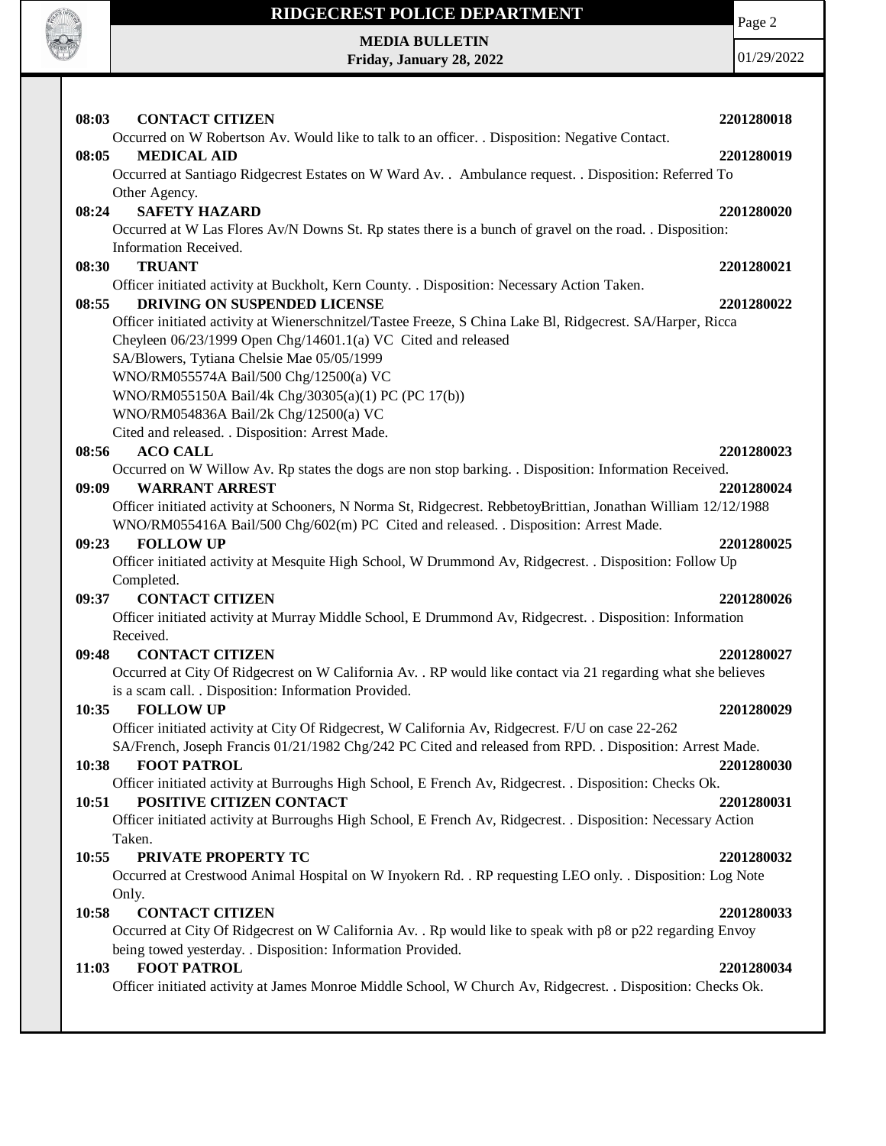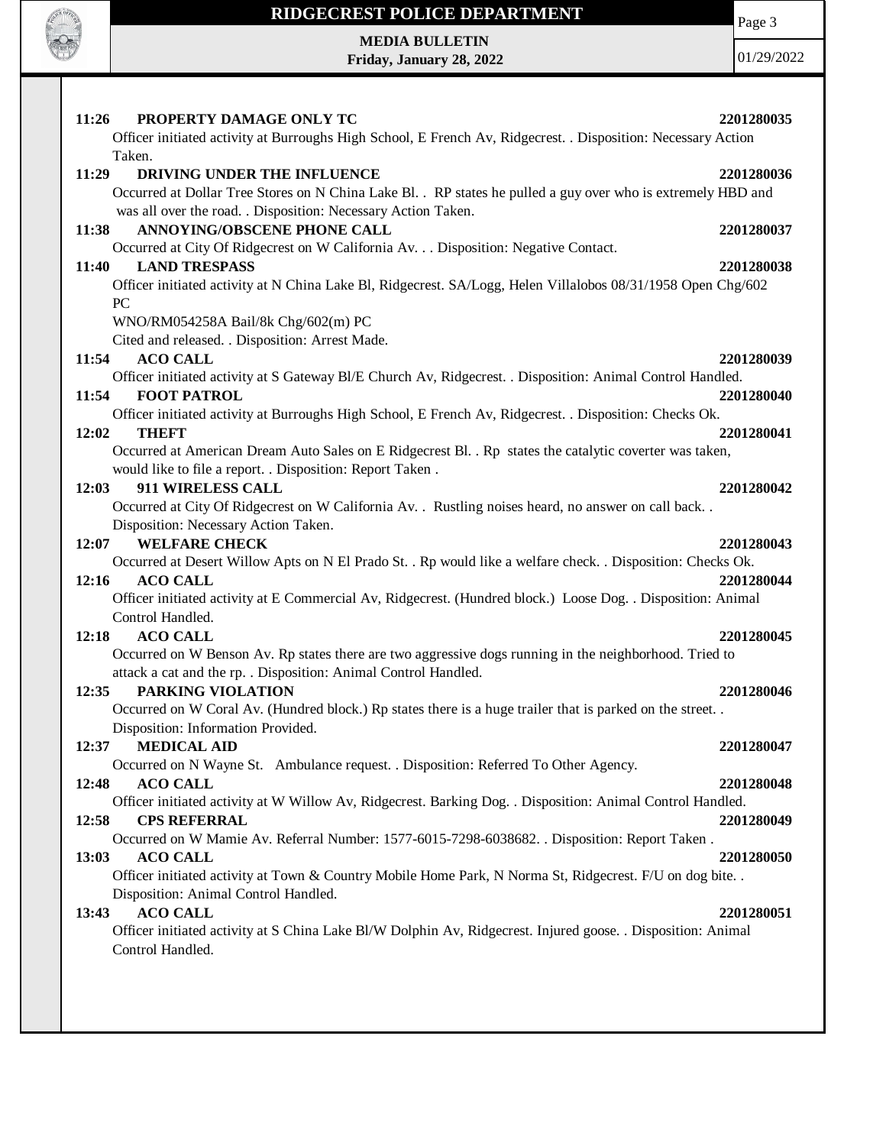

## **RIDGECREST POLICE DEPARTMENT**

**MEDIA BULLETIN Friday, January 28, 2022** Page 3

| 11:26<br>PROPERTY DAMAGE ONLY TC                                                                              | 2201280035 |
|---------------------------------------------------------------------------------------------------------------|------------|
| Officer initiated activity at Burroughs High School, E French Av, Ridgecrest. . Disposition: Necessary Action |            |
| Taken.                                                                                                        |            |
| 11:29<br>DRIVING UNDER THE INFLUENCE                                                                          | 2201280036 |
| Occurred at Dollar Tree Stores on N China Lake Bl. . RP states he pulled a guy over who is extremely HBD and  |            |
| was all over the road. . Disposition: Necessary Action Taken.                                                 |            |
| ANNOYING/OBSCENE PHONE CALL<br>11:38                                                                          | 2201280037 |
| Occurred at City Of Ridgecrest on W California Av. Disposition: Negative Contact.                             |            |
| <b>LAND TRESPASS</b><br>11:40                                                                                 | 2201280038 |
| Officer initiated activity at N China Lake Bl, Ridgecrest. SA/Logg, Helen Villalobos 08/31/1958 Open Chg/602  |            |
| <b>PC</b>                                                                                                     |            |
| WNO/RM054258A Bail/8k Chg/602(m) PC                                                                           |            |
| Cited and released. . Disposition: Arrest Made.                                                               |            |
| <b>ACO CALL</b><br>11:54                                                                                      | 2201280039 |
| Officer initiated activity at S Gateway Bl/E Church Av, Ridgecrest. . Disposition: Animal Control Handled.    |            |
| <b>FOOT PATROL</b><br>11:54                                                                                   | 2201280040 |
| Officer initiated activity at Burroughs High School, E French Av, Ridgecrest. . Disposition: Checks Ok.       |            |
| <b>THEFT</b><br>12:02                                                                                         | 2201280041 |
| Occurred at American Dream Auto Sales on E Ridgecrest Bl. . Rp states the catalytic coverter was taken,       |            |
| would like to file a report. . Disposition: Report Taken.                                                     |            |
| 911 WIRELESS CALL<br>12:03                                                                                    | 2201280042 |
| Occurred at City Of Ridgecrest on W California Av. . Rustling noises heard, no answer on call back. .         |            |
| Disposition: Necessary Action Taken.                                                                          |            |
| <b>WELFARE CHECK</b><br>12:07                                                                                 | 2201280043 |
| Occurred at Desert Willow Apts on N El Prado St. . Rp would like a welfare check. . Disposition: Checks Ok.   |            |
| 12:16<br><b>ACO CALL</b>                                                                                      | 2201280044 |
| Officer initiated activity at E Commercial Av, Ridgecrest. (Hundred block.) Loose Dog. . Disposition: Animal  |            |
| Control Handled.                                                                                              |            |
| 12:18<br><b>ACO CALL</b>                                                                                      | 2201280045 |
| Occurred on W Benson Av. Rp states there are two aggressive dogs running in the neighborhood. Tried to        |            |
| attack a cat and the rp. . Disposition: Animal Control Handled.                                               |            |
| PARKING VIOLATION<br>12:35                                                                                    | 2201280046 |
| Occurred on W Coral Av. (Hundred block.) Rp states there is a huge trailer that is parked on the street. .    |            |
| Disposition: Information Provided.                                                                            |            |
| <b>MEDICAL AID</b><br>12:37                                                                                   | 2201280047 |
| Occurred on N Wayne St. Ambulance request. . Disposition: Referred To Other Agency.                           |            |
| 12:48<br><b>ACO CALL</b>                                                                                      | 2201280048 |
| Officer initiated activity at W Willow Av, Ridgecrest. Barking Dog. . Disposition: Animal Control Handled.    |            |
| 12:58<br><b>CPS REFERRAL</b>                                                                                  | 2201280049 |
| Occurred on W Mamie Av. Referral Number: 1577-6015-7298-6038682. . Disposition: Report Taken.                 |            |
| <b>ACO CALL</b><br>13:03                                                                                      | 2201280050 |
| Officer initiated activity at Town & Country Mobile Home Park, N Norma St, Ridgecrest. F/U on dog bite. .     |            |
| Disposition: Animal Control Handled.                                                                          |            |
| <b>ACO CALL</b><br>13:43                                                                                      | 2201280051 |
| Officer initiated activity at S China Lake Bl/W Dolphin Av, Ridgecrest. Injured goose. . Disposition: Animal  |            |
| Control Handled.                                                                                              |            |
|                                                                                                               |            |
|                                                                                                               |            |
|                                                                                                               |            |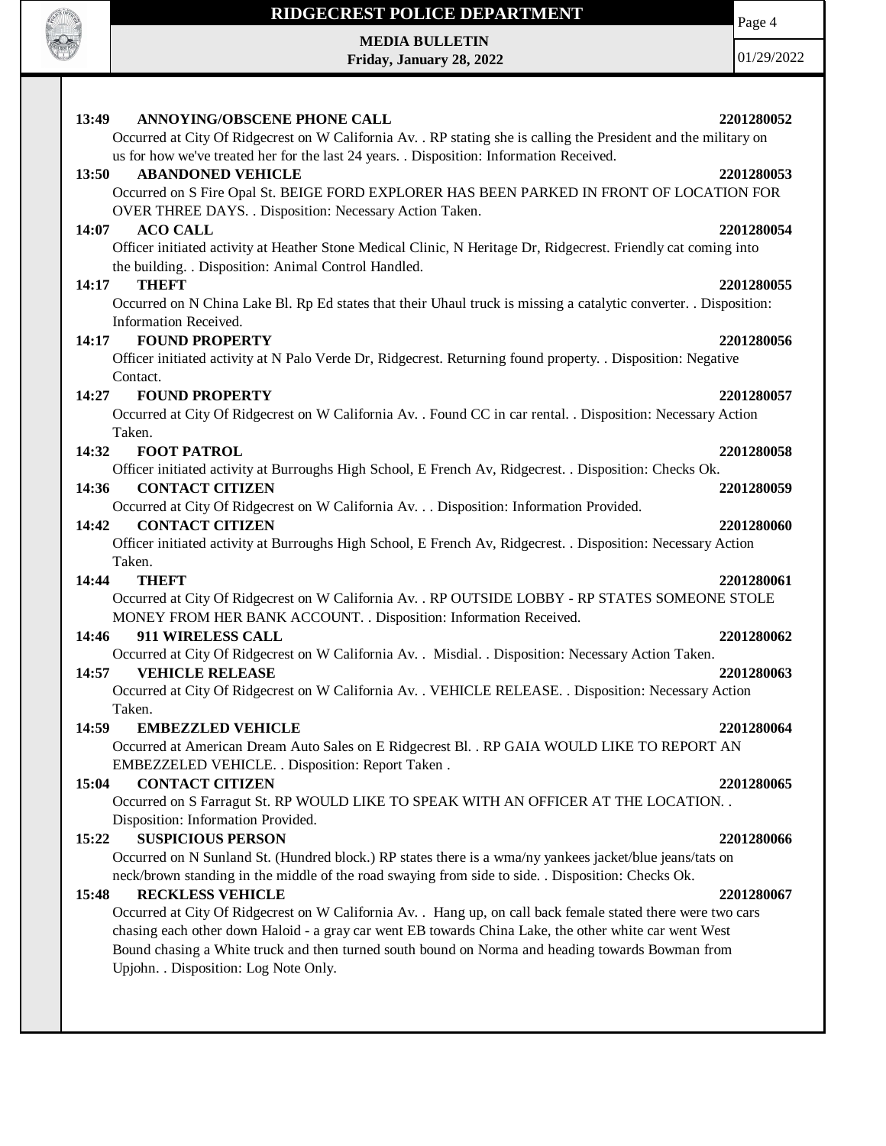

## **RIDGECREST POLICE DEPARTMENT**

**MEDIA BULLETIN Friday, January 28, 2022** Page 4

| 13:49<br>ANNOYING/OBSCENE PHONE CALL                                                                              |            |
|-------------------------------------------------------------------------------------------------------------------|------------|
|                                                                                                                   | 2201280052 |
| Occurred at City Of Ridgecrest on W California Av. . RP stating she is calling the President and the military on  |            |
| us for how we've treated her for the last 24 years. . Disposition: Information Received.                          |            |
| <b>ABANDONED VEHICLE</b><br>13:50                                                                                 | 2201280053 |
| Occurred on S Fire Opal St. BEIGE FORD EXPLORER HAS BEEN PARKED IN FRONT OF LOCATION FOR                          |            |
| OVER THREE DAYS. . Disposition: Necessary Action Taken.                                                           |            |
| <b>ACO CALL</b><br>14:07                                                                                          | 2201280054 |
| Officer initiated activity at Heather Stone Medical Clinic, N Heritage Dr, Ridgecrest. Friendly cat coming into   |            |
| the building. . Disposition: Animal Control Handled.                                                              |            |
| <b>THEFT</b>                                                                                                      |            |
| 14:17                                                                                                             | 2201280055 |
| Occurred on N China Lake Bl. Rp Ed states that their Uhaul truck is missing a catalytic converter. . Disposition: |            |
| Information Received.                                                                                             |            |
| <b>FOUND PROPERTY</b><br>14:17                                                                                    | 2201280056 |
| Officer initiated activity at N Palo Verde Dr, Ridgecrest. Returning found property. . Disposition: Negative      |            |
| Contact.                                                                                                          |            |
| <b>FOUND PROPERTY</b><br>14:27                                                                                    | 2201280057 |
| Occurred at City Of Ridgecrest on W California Av. . Found CC in car rental. . Disposition: Necessary Action      |            |
| Taken.                                                                                                            |            |
| 14:32<br><b>FOOT PATROL</b>                                                                                       | 2201280058 |
| Officer initiated activity at Burroughs High School, E French Av, Ridgecrest. . Disposition: Checks Ok.           |            |
| <b>CONTACT CITIZEN</b><br>14:36                                                                                   | 2201280059 |
| Occurred at City Of Ridgecrest on W California Av. Disposition: Information Provided.                             |            |
| <b>CONTACT CITIZEN</b><br>14:42                                                                                   | 2201280060 |
| Officer initiated activity at Burroughs High School, E French Av, Ridgecrest. . Disposition: Necessary Action     |            |
| Taken.                                                                                                            |            |
| <b>THEFT</b><br>14:44                                                                                             | 2201280061 |
| Occurred at City Of Ridgecrest on W California Av. . RP OUTSIDE LOBBY - RP STATES SOMEONE STOLE                   |            |
|                                                                                                                   |            |
| MONEY FROM HER BANK ACCOUNT. . Disposition: Information Received.                                                 |            |
|                                                                                                                   | 2201280062 |
| 14:46<br>911 WIRELESS CALL                                                                                        |            |
| Occurred at City Of Ridgecrest on W California Av. . Misdial. . Disposition: Necessary Action Taken.              |            |
| <b>VEHICLE RELEASE</b><br>14:57                                                                                   | 2201280063 |
| Occurred at City Of Ridgecrest on W California Av. . VEHICLE RELEASE. . Disposition: Necessary Action             |            |
| Taken.                                                                                                            |            |
| 14:59<br><b>EMBEZZLED VEHICLE</b>                                                                                 | 2201280064 |
| Occurred at American Dream Auto Sales on E Ridgecrest Bl. . RP GAIA WOULD LIKE TO REPORT AN                       |            |
| EMBEZZELED VEHICLE. . Disposition: Report Taken.                                                                  |            |
| 15:04<br><b>CONTACT CITIZEN</b>                                                                                   | 2201280065 |
| Occurred on S Farragut St. RP WOULD LIKE TO SPEAK WITH AN OFFICER AT THE LOCATION. .                              |            |
|                                                                                                                   |            |
| Disposition: Information Provided.<br>15:22                                                                       |            |
| <b>SUSPICIOUS PERSON</b>                                                                                          | 2201280066 |
| Occurred on N Sunland St. (Hundred block.) RP states there is a wma/ny yankees jacket/blue jeans/tats on          |            |
| neck/brown standing in the middle of the road swaying from side to side. . Disposition: Checks Ok.                |            |
| <b>RECKLESS VEHICLE</b><br>15:48                                                                                  | 2201280067 |
| Occurred at City Of Ridgecrest on W California Av. . Hang up, on call back female stated there were two cars      |            |
| chasing each other down Haloid - a gray car went EB towards China Lake, the other white car went West             |            |
| Bound chasing a White truck and then turned south bound on Norma and heading towards Bowman from                  |            |
| Upjohn. . Disposition: Log Note Only.                                                                             |            |
|                                                                                                                   |            |
|                                                                                                                   |            |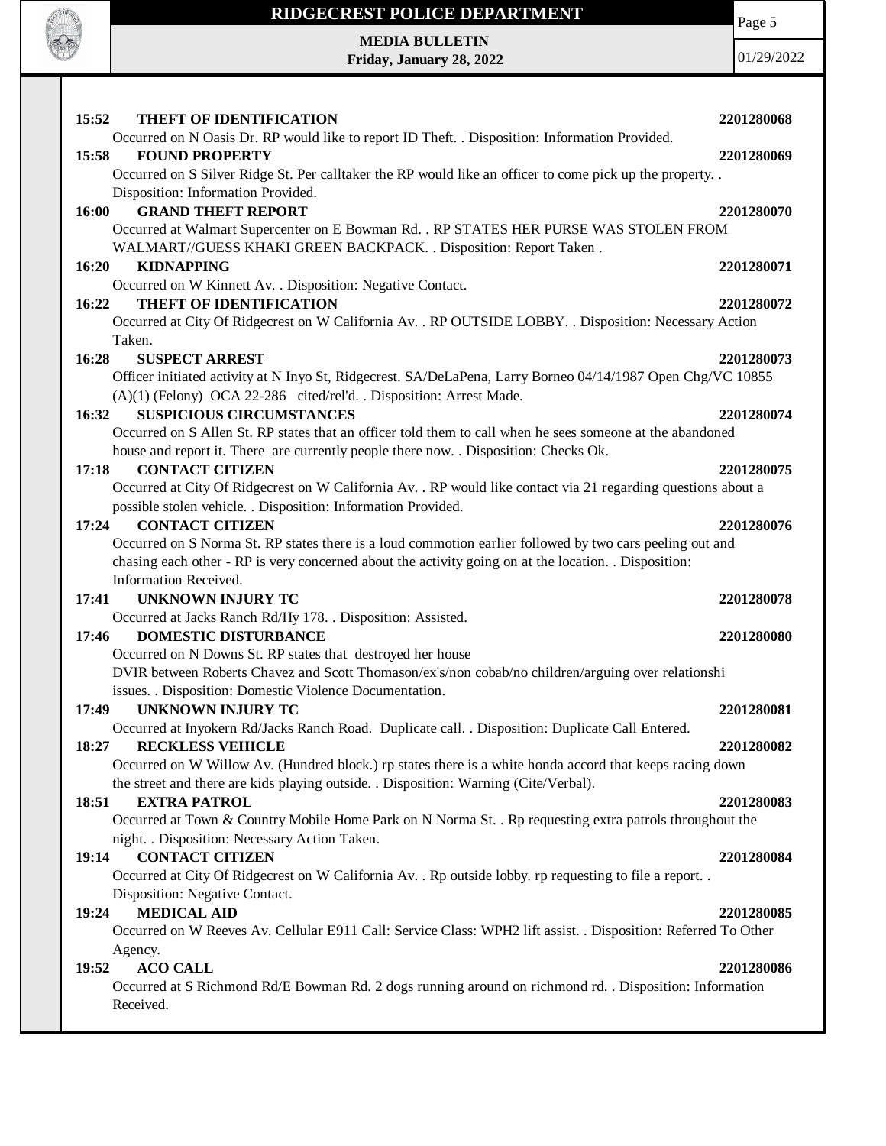